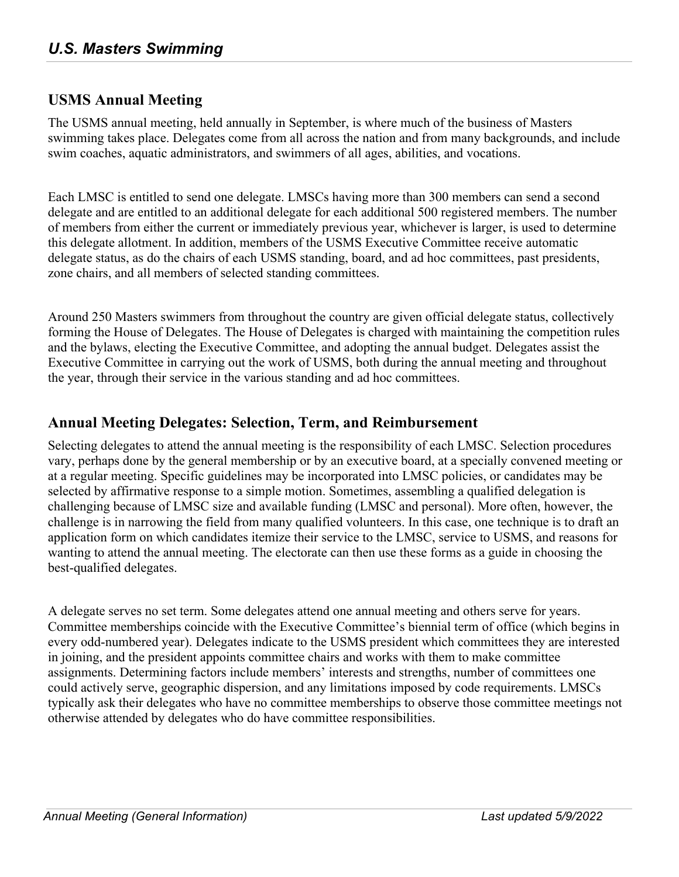## **USMS Annual Meeting**

The USMS annual meeting, held annually in September, is where much of the business of Masters swimming takes place. Delegates come from all across the nation and from many backgrounds, and include swim coaches, aquatic administrators, and swimmers of all ages, abilities, and vocations.

Each LMSC is entitled to send one delegate. LMSCs having more than 300 members can send a second delegate and are entitled to an additional delegate for each additional 500 registered members. The number of members from either the current or immediately previous year, whichever is larger, is used to determine this delegate allotment. In addition, members of the USMS Executive Committee receive automatic delegate status, as do the chairs of each USMS standing, board, and ad hoc committees, past presidents, zone chairs, and all members of selected standing committees.

Around 250 Masters swimmers from throughout the country are given official delegate status, collectively forming the House of Delegates. The House of Delegates is charged with maintaining the competition rules and the bylaws, electing the Executive Committee, and adopting the annual budget. Delegates assist the Executive Committee in carrying out the work of USMS, both during the annual meeting and throughout the year, through their service in the various standing and ad hoc committees.

## **Annual Meeting Delegates: Selection, Term, and Reimbursement**

Selecting delegates to attend the annual meeting is the responsibility of each LMSC. Selection procedures vary, perhaps done by the general membership or by an executive board, at a specially convened meeting or at a regular meeting. Specific guidelines may be incorporated into LMSC policies, or candidates may be selected by affirmative response to a simple motion. Sometimes, assembling a qualified delegation is challenging because of LMSC size and available funding (LMSC and personal). More often, however, the challenge is in narrowing the field from many qualified volunteers. In this case, one technique is to draft an application form on which candidates itemize their service to the LMSC, service to USMS, and reasons for wanting to attend the annual meeting. The electorate can then use these forms as a guide in choosing the best-qualified delegates.

A delegate serves no set term. Some delegates attend one annual meeting and others serve for years. Committee memberships coincide with the Executive Committee's biennial term of office (which begins in every odd-numbered year). Delegates indicate to the USMS president which committees they are interested in joining, and the president appoints committee chairs and works with them to make committee assignments. Determining factors include members' interests and strengths, number of committees one could actively serve, geographic dispersion, and any limitations imposed by code requirements. LMSCs typically ask their delegates who have no committee memberships to observe those committee meetings not otherwise attended by delegates who do have committee responsibilities.